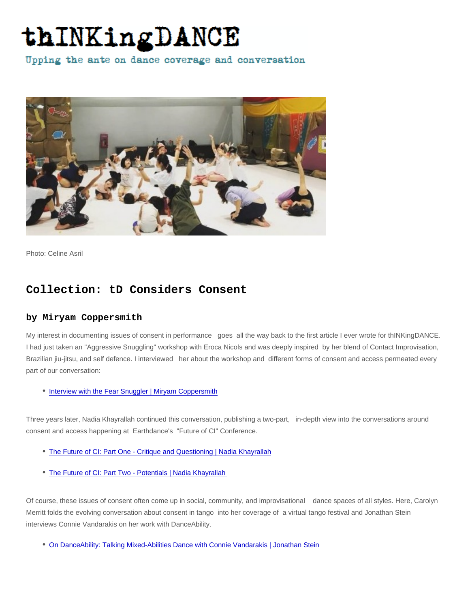Photo: Celine Asril

## Collection: tD Considers Consent

## by Miryam Coppersmith

My interest in documenting issues of consent in performance goes all the way back to the first article I ever wrote for thINKingDANCE. I had just taken an "Aggressive Snuggling" workshop with Eroca Nicols and was deeply inspired by her blend of Contact Improvisation, Brazilian jiu-jitsu, and self defence. I interviewed her about the workshop and different forms of consent and access permeated every part of our conversation:

• [Interview with the Fear Snuggler | Miryam Coppersmith](https://thinkingdance.net/articles/2018/04/11/Interview-with-the-Fear-Snuggler)

Three years later, Nadia Khayrallah continued this conversation, publishing a two-part, in-depth view into the conversations around consent and access happening at Earthdance's "Future of CI" Conference.

- [The Future of CI: Part One Critique and Questioning | Nadia Khayrallah](https://thinkingdance.net/articles/2021/05/08/The-Future-of-CI-Part-One-Critique-and-Questioning)
- [The Future of CI: Part Two Potentials | Nadia Khayrallah](https://thinkingdance.net/articles/2021/05/23/The-Future-of-CI-Part-Two-Potentials)

Of course, these issues of consent often come up in social, community, and improvisational dance spaces of all styles. Here, Carolyn Merritt folds the evolving conversation about consent in tango into her coverage of a virtual tango festival and Jonathan Stein interviews Connie Vandarakis on her work with DanceAbility.

[On DanceAbility: Talking Mixed-Abilities Dance with Connie Vandarakis | Jonathan Stein](https://thinkingdance.net/articles/2019/02/06/On-DanceAbility-Talking-Mixed-Abilities-Dance-with-Connie-Vandarakis)